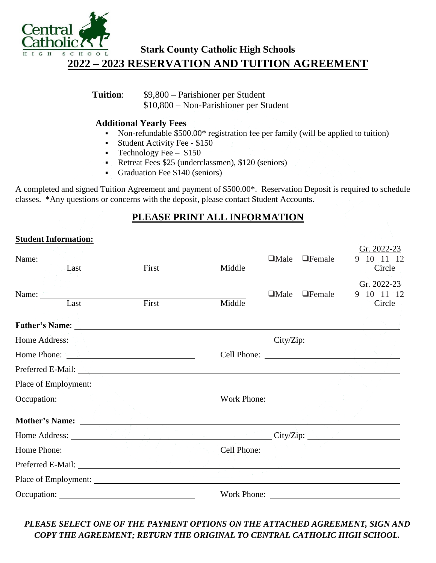

## **Stark County Catholic High Schools 2022 – 2023 RESERVATION AND TUITION AGREEMENT**

**Tuition**: \$9,800 – Parishioner per Student \$10,800 – Non-Parishioner per Student

#### **Additional Yearly Fees**

- Non-refundable \$500.00\* registration fee per family (will be applied to tuition)
- Student Activity Fee \$150
- **Technology Fee**  $-$  \$150
- Retreat Fees \$25 (underclassmen), \$120 (seniors)
- Graduation Fee \$140 (seniors)

A completed and signed Tuition Agreement and payment of \$500.00\*. Reservation Deposit is required to schedule classes. \*Any questions or concerns with the deposit, please contact Student Accounts.

### **PLEASE PRINT ALL INFORMATION**

#### **Student Information:**

|             | Name: Last          |                                                                                                                                                                                                                                     |     |        | $\Box$ Male | $\Box$ Female | Gr. 2022-23<br>$10 \quad 11 \quad 12$<br>9 |
|-------------|---------------------|-------------------------------------------------------------------------------------------------------------------------------------------------------------------------------------------------------------------------------------|-----|--------|-------------|---------------|--------------------------------------------|
|             |                     | First                                                                                                                                                                                                                               |     | Middle |             |               | Circle                                     |
|             |                     |                                                                                                                                                                                                                                     |     |        |             |               | Gr. 2022-23                                |
|             | Name: $\frac{1}{2}$ |                                                                                                                                                                                                                                     |     |        | $\Box$ Male | $\Box$ Female | 9 10 11 12                                 |
|             | Last                | First                                                                                                                                                                                                                               |     | Middle |             |               | Circle                                     |
|             |                     | <b>Father's Name:</b> Name: Name: Name: Name: Name: Name: Name: Name: Name: Name: Name: Name: Name: Name: Name: Name: Name: Name: Name: Name: Name: Name: Name: Name: Name: Name: Name: Name: Name: Name: Name: Name: Name: Name: N |     |        |             |               |                                            |
|             |                     | Home Address: Canadian City/Zip: City/Zip:                                                                                                                                                                                          |     |        |             |               |                                            |
| Home Phone: |                     |                                                                                                                                                                                                                                     |     |        |             |               | Cell Phone:                                |
|             |                     | Preferred E-Mail: <u>Alexander Andrew Communication</u> and the set of the set of the set of the set of the set of the set of the set of the set of the set of the set of the set of the set of the set of the set of the set of th |     |        |             |               |                                            |
|             |                     |                                                                                                                                                                                                                                     |     |        |             |               |                                            |
|             |                     |                                                                                                                                                                                                                                     |     |        |             |               | Work Phone:                                |
|             |                     |                                                                                                                                                                                                                                     |     |        |             |               |                                            |
|             |                     | Home Address: New York State Address and the Contract of the Contract of the Contract of the Contract of the Contract of the Contract of the Contract of the Contract of the Contract of the Contract of the Contract of the C      |     |        |             |               |                                            |
|             |                     | Home Phone:                                                                                                                                                                                                                         | 75, |        |             |               |                                            |
|             |                     |                                                                                                                                                                                                                                     |     |        |             |               |                                            |
|             |                     |                                                                                                                                                                                                                                     |     |        |             |               |                                            |
|             |                     |                                                                                                                                                                                                                                     |     |        |             |               | Work Phone:                                |

### *PLEASE SELECT ONE OF THE PAYMENT OPTIONS ON THE ATTACHED AGREEMENT, SIGN AND COPY THE AGREEMENT; RETURN THE ORIGINAL TO CENTRAL CATHOLIC HIGH SCHOOL.*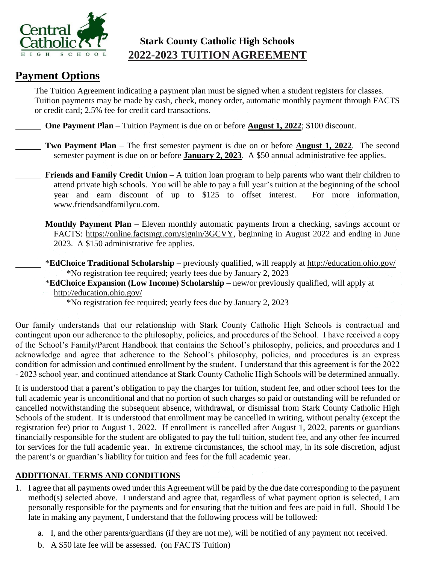

## **Stark County Catholic High Schools 2022-2023 TUITION AGREEMENT**

# **Payment Options**

The Tuition Agreement indicating a payment plan must be signed when a student registers for classes. Tuition payments may be made by cash, check, money order, automatic monthly payment through FACTS or credit card; 2.5% fee for credit card transactions.

**One Payment Plan** – Tuition Payment is due on or before **August 1, 2022**; \$100 discount.

- **Two Payment Plan** The first semester payment is due on or before **August 1, 2022**. The second semester payment is due on or before **January 2, 2023**. A \$50 annual administrative fee applies.
- **Friends and Family Credit Union** A tuition loan program to help parents who want their children to attend private high schools. You will be able to pay a full year's tuition at the beginning of the school year and earn discount of up to \$125 to offset interest. For more information, www.friendsandfamilycu.com.
- **Monthly Payment Plan** Eleven monthly automatic payments from a checking, savings account or FACTS: https://online.factsmgt.com/signin/3GCVY, beginning in August 2022 and ending in June 2023. A \$150 administrative fee applies.
- \***EdChoice Traditional Scholarship** previously qualified, will reapply at http://education.ohio.gov/ \*No registration fee required; yearly fees due by January 2, 2023
	- \***EdChoice Expansion (Low Income) Scholarship** new/or previously qualified, will apply at http://education.ohio.gov/
		- \*No registration fee required; yearly fees due by January 2, 2023

Our family understands that our relationship with Stark County Catholic High Schools is contractual and contingent upon our adherence to the philosophy, policies, and procedures of the School. I have received a copy of the School's Family/Parent Handbook that contains the School's philosophy, policies, and procedures and I acknowledge and agree that adherence to the School's philosophy, policies, and procedures is an express condition for admission and continued enrollment by the student. I understand that this agreement is for the 2022 - 2023 school year, and continued attendance at Stark County Catholic High Schools will be determined annually.

It is understood that a parent's obligation to pay the charges for tuition, student fee, and other school fees for the full academic year is unconditional and that no portion of such charges so paid or outstanding will be refunded or cancelled notwithstanding the subsequent absence, withdrawal, or dismissal from Stark County Catholic High Schools of the student. It is understood that enrollment may be cancelled in writing, without penalty (except the registration fee) prior to August 1, 2022. If enrollment is cancelled after August 1, 2022, parents or guardians financially responsible for the student are obligated to pay the full tuition, student fee, and any other fee incurred for services for the full academic year. In extreme circumstances, the school may, in its sole discretion, adjust the parent's or guardian's liability for tuition and fees for the full academic year.

#### **ADDITIONAL TERMS AND CONDITIONS**

- 1. I agree that all payments owed under this Agreement will be paid by the due date corresponding to the payment method(s) selected above. I understand and agree that, regardless of what payment option is selected, I am personally responsible for the payments and for ensuring that the tuition and fees are paid in full. Should I be late in making any payment, I understand that the following process will be followed:
	- a. I, and the other parents/guardians (if they are not me), will be notified of any payment not received.
	- b. A \$50 late fee will be assessed. (on FACTS Tuition)